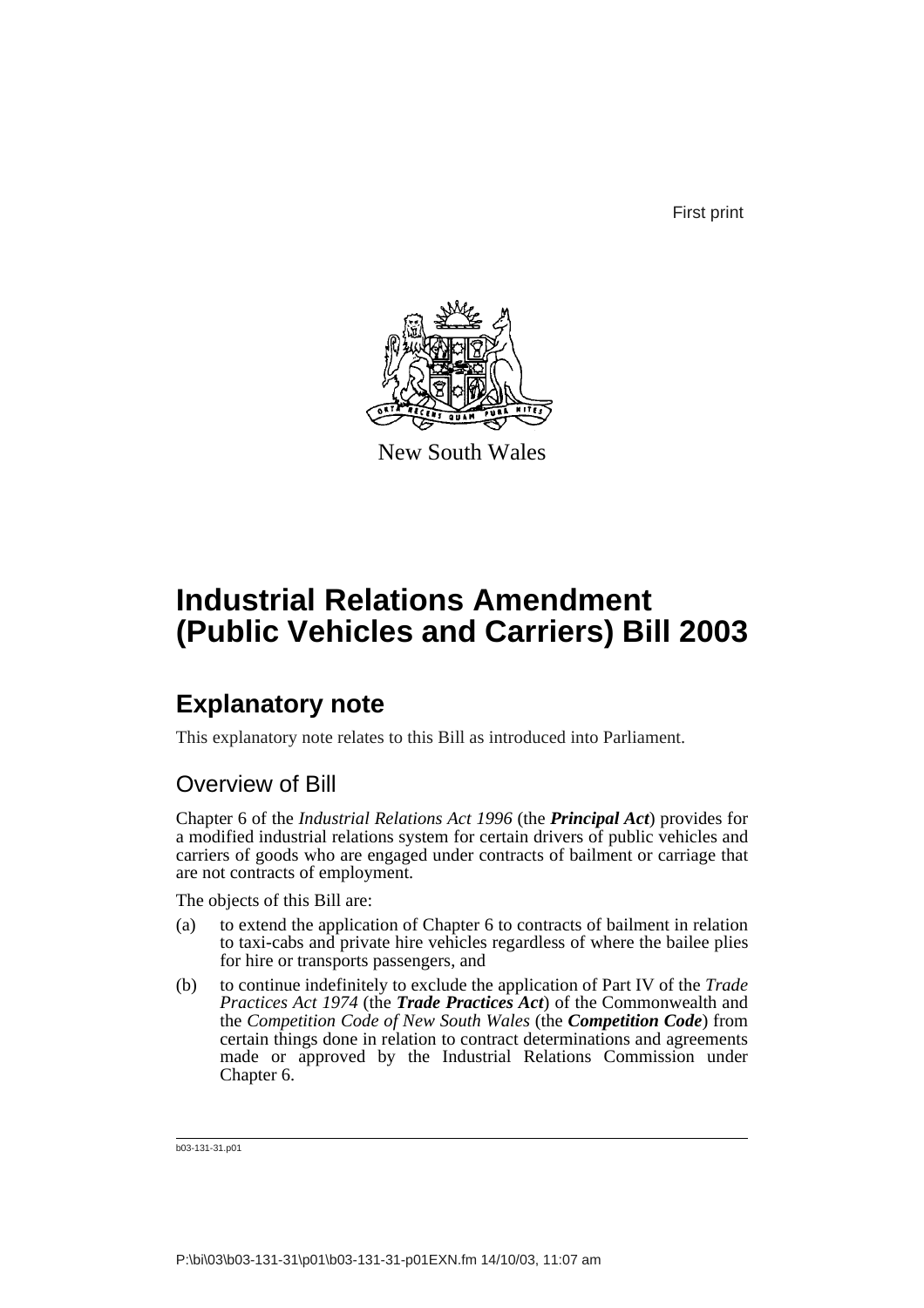First print



New South Wales

# **Industrial Relations Amendment (Public Vehicles and Carriers) Bill 2003**

## **Explanatory note**

This explanatory note relates to this Bill as introduced into Parliament.

## Overview of Bill

Chapter 6 of the *Industrial Relations Act 1996* (the *Principal Act*) provides for a modified industrial relations system for certain drivers of public vehicles and carriers of goods who are engaged under contracts of bailment or carriage that are not contracts of employment.

The objects of this Bill are:

- (a) to extend the application of Chapter 6 to contracts of bailment in relation to taxi-cabs and private hire vehicles regardless of where the bailee plies for hire or transports passengers, and
- (b) to continue indefinitely to exclude the application of Part IV of the *Trade Practices Act 1974* (the *Trade Practices Act*) of the Commonwealth and the *Competition Code of New South Wales* (the *Competition Code*) from certain things done in relation to contract determinations and agreements made or approved by the Industrial Relations Commission under Chapter 6.

b03-131-31.p01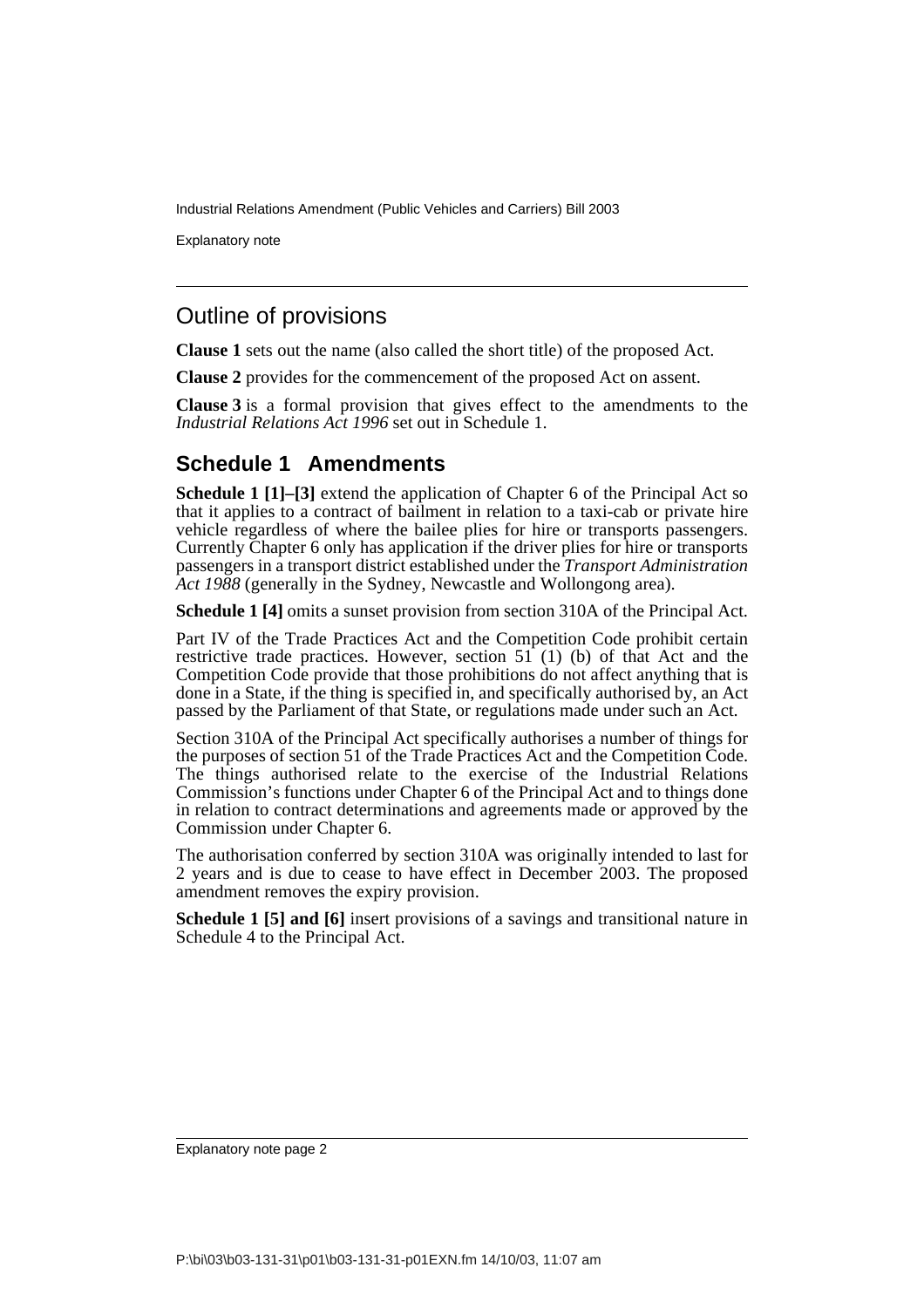Explanatory note

## Outline of provisions

**Clause 1** sets out the name (also called the short title) of the proposed Act.

**Clause 2** provides for the commencement of the proposed Act on assent.

**Clause 3** is a formal provision that gives effect to the amendments to the *Industrial Relations Act 1996* set out in Schedule 1.

### **Schedule 1 Amendments**

**Schedule 1 [1]–[3]** extend the application of Chapter 6 of the Principal Act so that it applies to a contract of bailment in relation to a taxi-cab or private hire vehicle regardless of where the bailee plies for hire or transports passengers. Currently Chapter 6 only has application if the driver plies for hire or transports passengers in a transport district established under the *Transport Administration* Act 1988 (generally in the Sydney, Newcastle and Wollongong area).

**Schedule 1 [4]** omits a sunset provision from section 310A of the Principal Act.

Part IV of the Trade Practices Act and the Competition Code prohibit certain restrictive trade practices. However, section  $51(1)$  (b) of that Act and the Competition Code provide that those prohibitions do not affect anything that is done in a State, if the thing is specified in, and specifically authorised by, an Act passed by the Parliament of that State, or regulations made under such an Act.

Section 310A of the Principal Act specifically authorises a number of things for the purposes of section 51 of the Trade Practices Act and the Competition Code. The things authorised relate to the exercise of the Industrial Relations Commission's functions under Chapter 6 of the Principal Act and to things done in relation to contract determinations and agreements made or approved by the Commission under Chapter 6.

The authorisation conferred by section 310A was originally intended to last for 2 years and is due to cease to have effect in December 2003. The proposed amendment removes the expiry provision.

**Schedule 1 [5] and [6]** insert provisions of a savings and transitional nature in Schedule 4 to the Principal Act.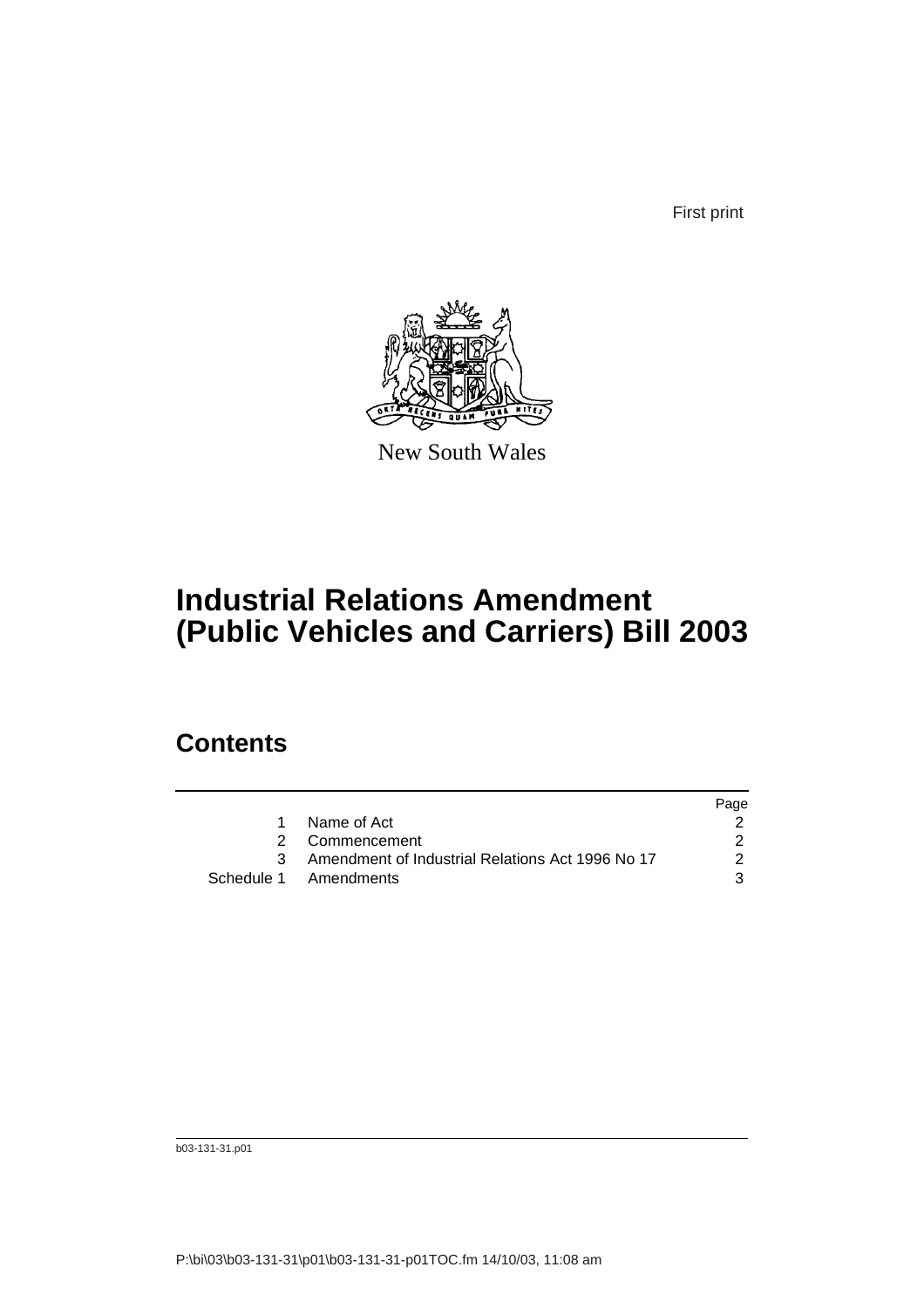First print



New South Wales

# **Industrial Relations Amendment (Public Vehicles and Carriers) Bill 2003**

## **Contents**

|           |                                                    | Page |
|-----------|----------------------------------------------------|------|
| $1 \quad$ | Name of Act                                        |      |
|           | 2 Commencement                                     |      |
|           | 3 Amendment of Industrial Relations Act 1996 No 17 | 2    |
|           | Schedule 1 Amendments                              | 3    |

b03-131-31.p01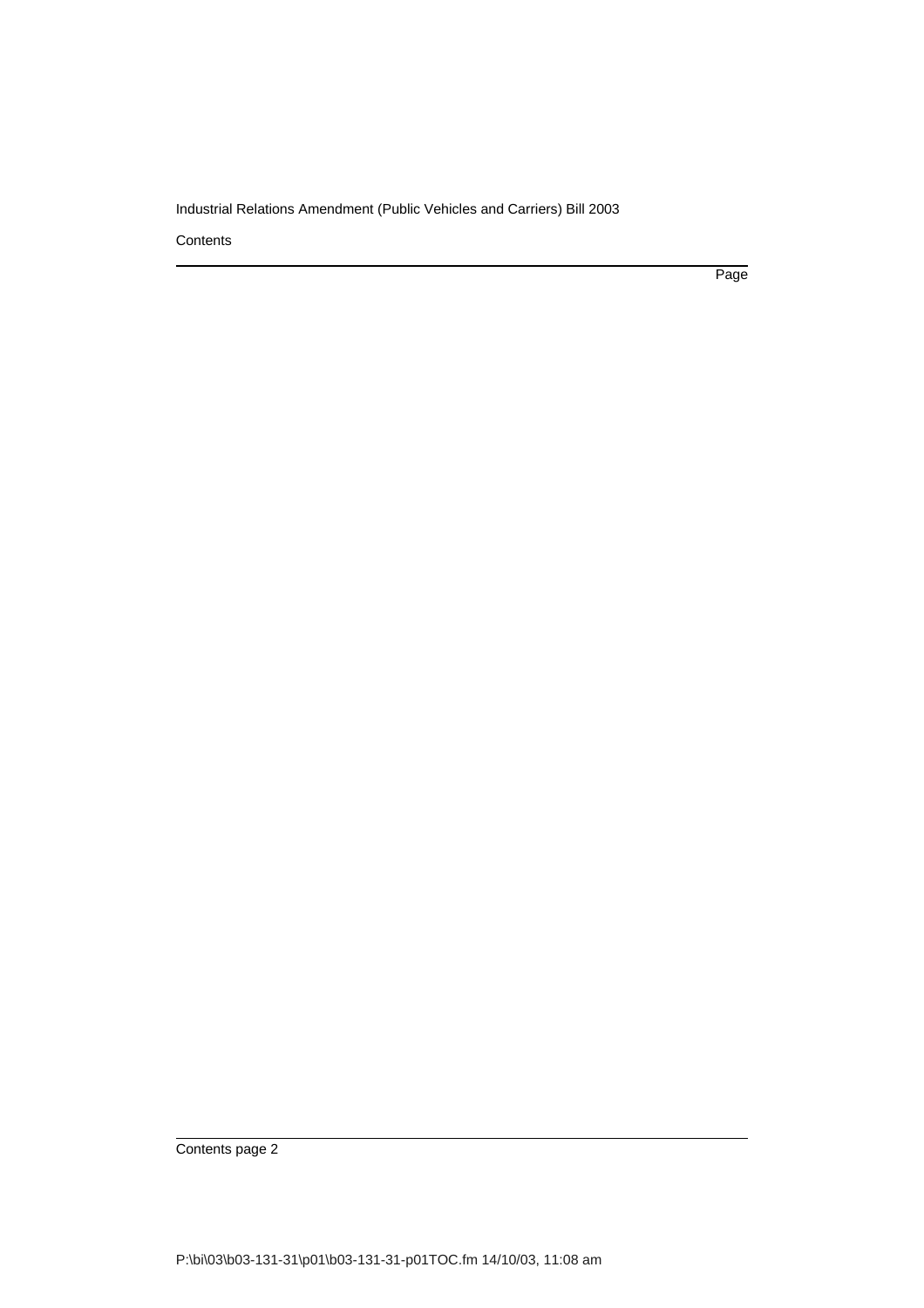**Contents** 

Page

Contents page 2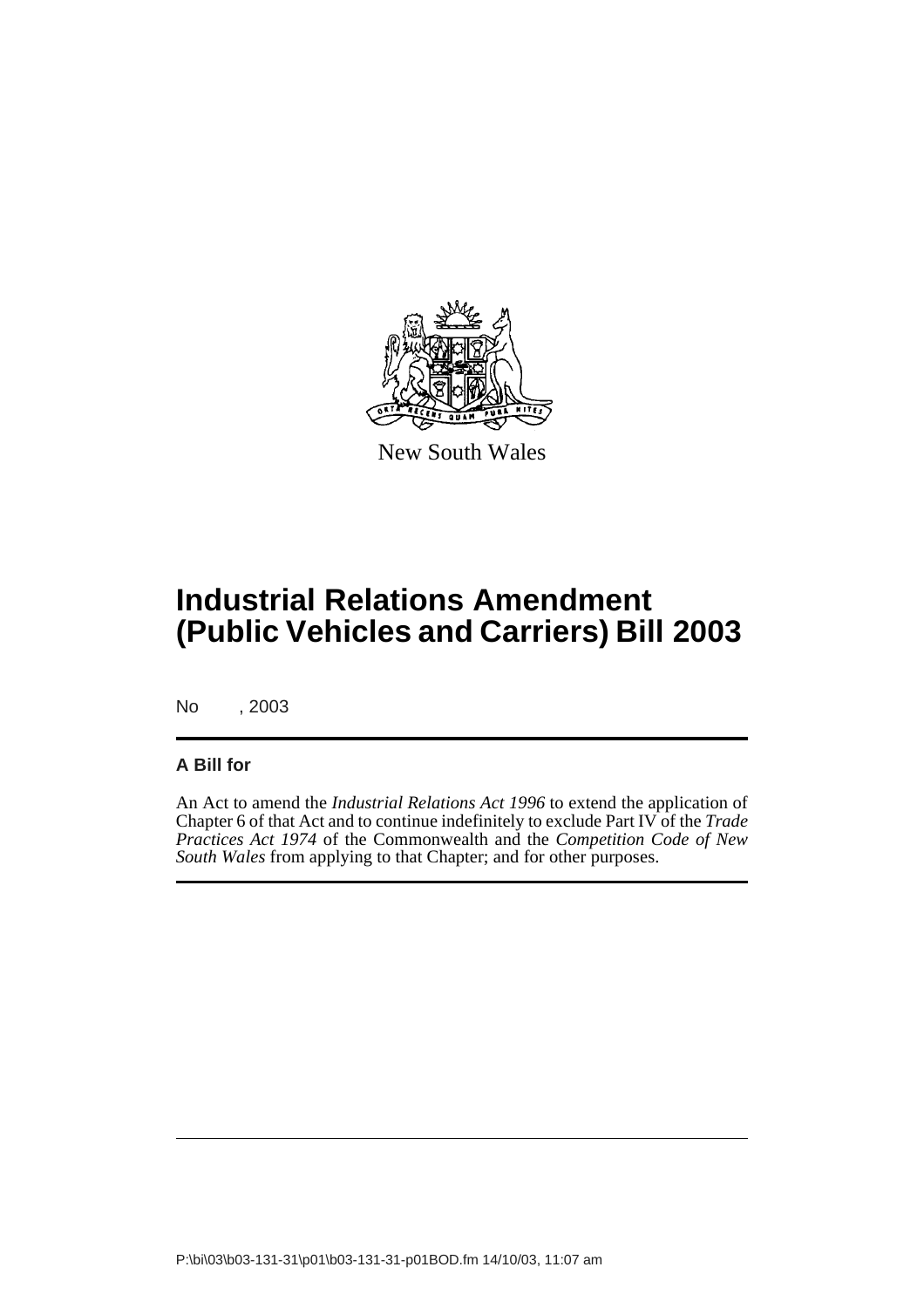

New South Wales

# **Industrial Relations Amendment (Public Vehicles and Carriers) Bill 2003**

No , 2003

### **A Bill for**

An Act to amend the *Industrial Relations Act 1996* to extend the application of Chapter 6 of that Act and to continue indefinitely to exclude Part IV of the *Trade Practices Act 1974* of the Commonwealth and the *Competition Code of New South Wales* from applying to that Chapter; and for other purposes.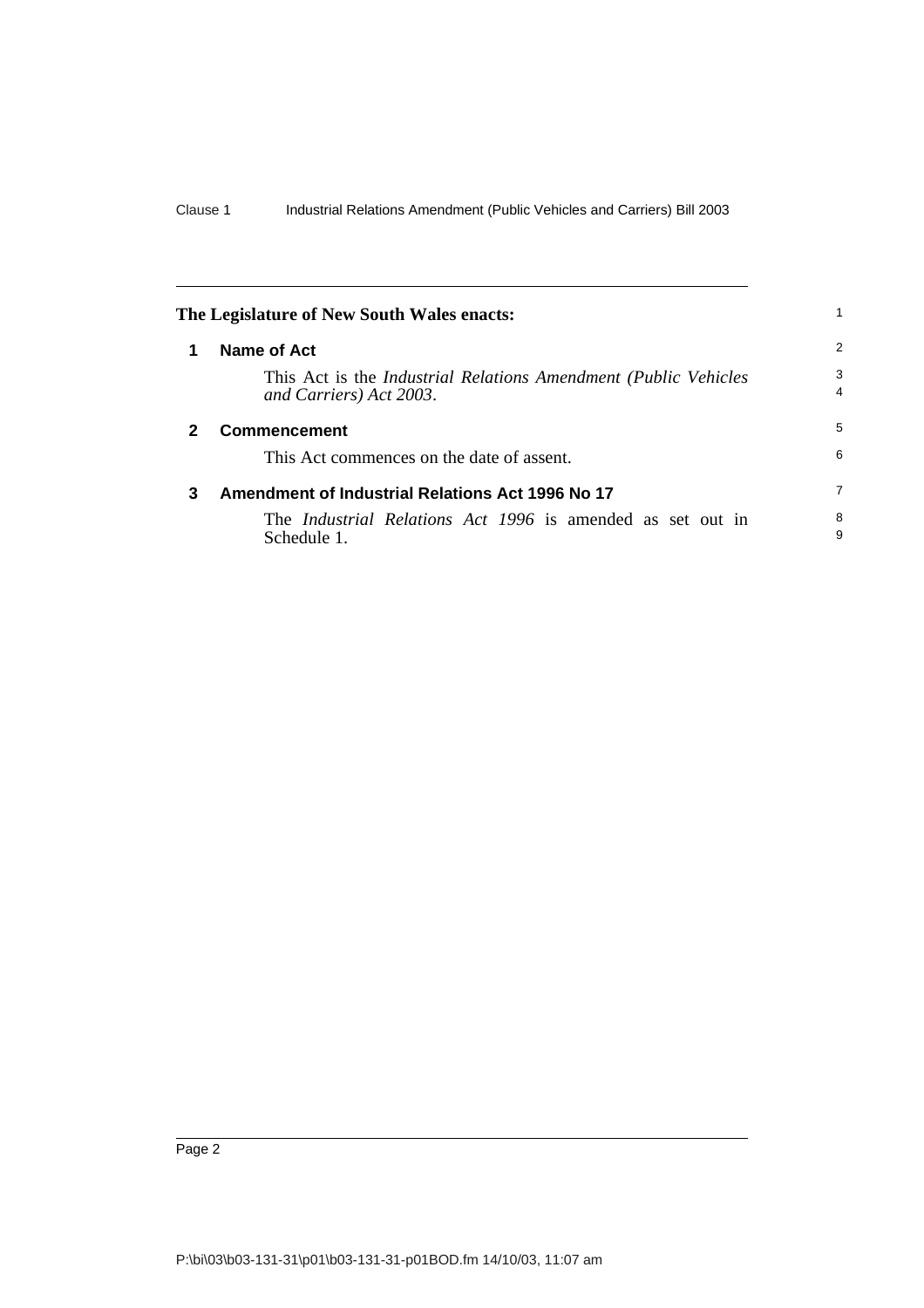<span id="page-5-2"></span><span id="page-5-1"></span><span id="page-5-0"></span>

| The Legislature of New South Wales enacts: |                                                                                                     |                |
|--------------------------------------------|-----------------------------------------------------------------------------------------------------|----------------|
|                                            | Name of Act                                                                                         | 2              |
|                                            | This Act is the <i>Industrial Relations Amendment (Public Vehicles</i> )<br>and Carriers) Act 2003. | 3<br>4         |
|                                            | <b>Commencement</b>                                                                                 | 5              |
|                                            | This Act commences on the date of assent.                                                           | 6              |
| 3                                          | Amendment of Industrial Relations Act 1996 No 17                                                    | $\overline{7}$ |
|                                            | The <i>Industrial Relations Act 1996</i> is amended as set out in<br>Schedule 1.                    | 8<br>9         |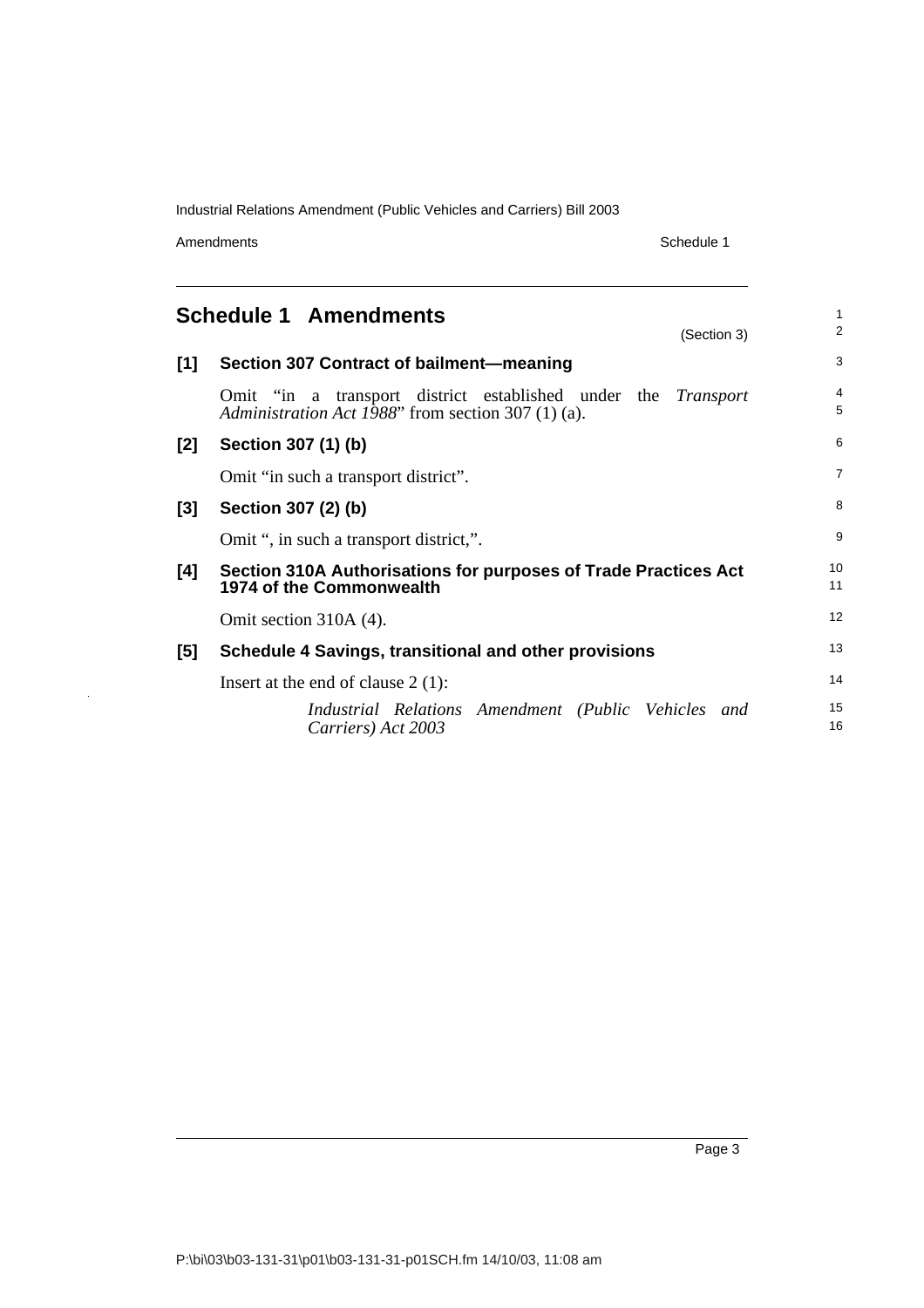Amendments Schedule 1

 $\bar{z}$ 

<span id="page-6-0"></span>

|       | <b>Schedule 1 Amendments</b><br>(Section 3)                                                                         | 1<br>$\overline{2}$ |
|-------|---------------------------------------------------------------------------------------------------------------------|---------------------|
| [1]   | Section 307 Contract of bailment-meaning                                                                            | 3                   |
|       | Omit "in a transport district established under the Transport<br>Administration Act 1988" from section 307 (1) (a). | 4<br>5              |
| [2]   | Section 307 (1) (b)                                                                                                 | 6                   |
|       | Omit "in such a transport district".                                                                                | 7                   |
| $[3]$ | Section 307 (2) (b)                                                                                                 | 8                   |
|       | Omit ", in such a transport district,".                                                                             | 9                   |
| $[4]$ | Section 310A Authorisations for purposes of Trade Practices Act<br>1974 of the Commonwealth                         | 10<br>11            |
|       | Omit section 310A (4).                                                                                              | 12                  |
| [5]   | Schedule 4 Savings, transitional and other provisions                                                               | 13                  |
|       | Insert at the end of clause $2(1)$ :                                                                                | 14                  |
|       | Industrial Relations Amendment (Public Vehicles and<br>Carriers) Act 2003                                           | 15<br>16            |